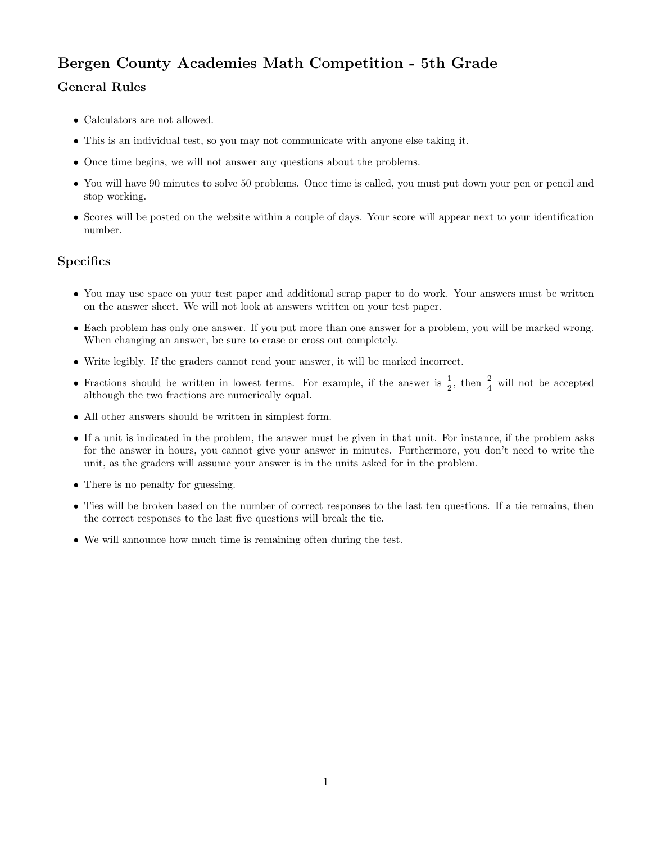## Bergen County Academies Math Competition - 5th Grade

## General Rules

- Calculators are not allowed.
- This is an individual test, so you may not communicate with anyone else taking it.
- Once time begins, we will not answer any questions about the problems.
- You will have 90 minutes to solve 50 problems. Once time is called, you must put down your pen or pencil and stop working.
- Scores will be posted on the website within a couple of days. Your score will appear next to your identification number.

## **Specifics**

- You may use space on your test paper and additional scrap paper to do work. Your answers must be written on the answer sheet. We will not look at answers written on your test paper.
- Each problem has only one answer. If you put more than one answer for a problem, you will be marked wrong. When changing an answer, be sure to erase or cross out completely.
- Write legibly. If the graders cannot read your answer, it will be marked incorrect.
- Fractions should be written in lowest terms. For example, if the answer is  $\frac{1}{2}$ , then  $\frac{2}{4}$  will not be accepted although the two fractions are numerically equal.
- All other answers should be written in simplest form.
- If a unit is indicated in the problem, the answer must be given in that unit. For instance, if the problem asks for the answer in hours, you cannot give your answer in minutes. Furthermore, you don't need to write the unit, as the graders will assume your answer is in the units asked for in the problem.
- There is no penalty for guessing.
- Ties will be broken based on the number of correct responses to the last ten questions. If a tie remains, then the correct responses to the last five questions will break the tie.
- We will announce how much time is remaining often during the test.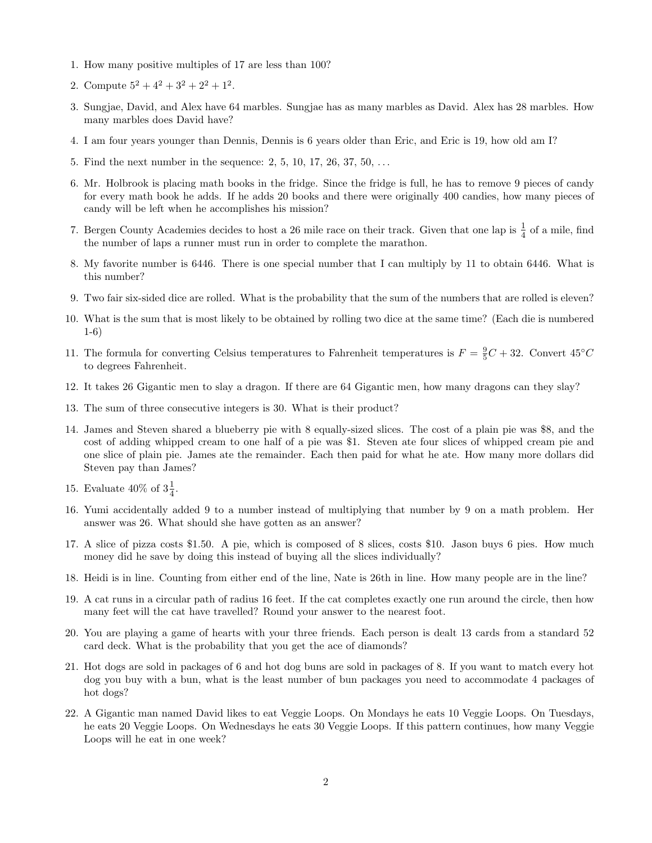- 1. How many positive multiples of 17 are less than 100?
- 2. Compute  $5^2 + 4^2 + 3^2 + 2^2 + 1^2$ .
- 3. Sungjae, David, and Alex have 64 marbles. Sungjae has as many marbles as David. Alex has 28 marbles. How many marbles does David have?
- 4. I am four years younger than Dennis, Dennis is 6 years older than Eric, and Eric is 19, how old am I?
- 5. Find the next number in the sequence: 2, 5, 10, 17, 26, 37, 50, . . .
- 6. Mr. Holbrook is placing math books in the fridge. Since the fridge is full, he has to remove 9 pieces of candy for every math book he adds. If he adds 20 books and there were originally 400 candies, how many pieces of candy will be left when he accomplishes his mission?
- 7. Bergen County Academies decides to host a 26 mile race on their track. Given that one lap is  $\frac{1}{4}$  of a mile, find the number of laps a runner must run in order to complete the marathon.
- 8. My favorite number is 6446. There is one special number that I can multiply by 11 to obtain 6446. What is this number?
- 9. Two fair six-sided dice are rolled. What is the probability that the sum of the numbers that are rolled is eleven?
- 10. What is the sum that is most likely to be obtained by rolling two dice at the same time? (Each die is numbered 1-6)
- 11. The formula for converting Celsius temperatures to Fahrenheit temperatures is  $F = \frac{9}{5}C + 32$ . Convert  $45^{\circ}C$ to degrees Fahrenheit.
- 12. It takes 26 Gigantic men to slay a dragon. If there are 64 Gigantic men, how many dragons can they slay?
- 13. The sum of three consecutive integers is 30. What is their product?
- 14. James and Steven shared a blueberry pie with 8 equally-sized slices. The cost of a plain pie was \$8, and the cost of adding whipped cream to one half of a pie was \$1. Steven ate four slices of whipped cream pie and one slice of plain pie. James ate the remainder. Each then paid for what he ate. How many more dollars did Steven pay than James?
- 15. Evaluate 40% of  $3\frac{1}{4}$ .
- 16. Yumi accidentally added 9 to a number instead of multiplying that number by 9 on a math problem. Her answer was 26. What should she have gotten as an answer?
- 17. A slice of pizza costs \$1.50. A pie, which is composed of 8 slices, costs \$10. Jason buys 6 pies. How much money did he save by doing this instead of buying all the slices individually?
- 18. Heidi is in line. Counting from either end of the line, Nate is 26th in line. How many people are in the line?
- 19. A cat runs in a circular path of radius 16 feet. If the cat completes exactly one run around the circle, then how many feet will the cat have travelled? Round your answer to the nearest foot.
- 20. You are playing a game of hearts with your three friends. Each person is dealt 13 cards from a standard 52 card deck. What is the probability that you get the ace of diamonds?
- 21. Hot dogs are sold in packages of 6 and hot dog buns are sold in packages of 8. If you want to match every hot dog you buy with a bun, what is the least number of bun packages you need to accommodate 4 packages of hot dogs?
- 22. A Gigantic man named David likes to eat Veggie Loops. On Mondays he eats 10 Veggie Loops. On Tuesdays, he eats 20 Veggie Loops. On Wednesdays he eats 30 Veggie Loops. If this pattern continues, how many Veggie Loops will he eat in one week?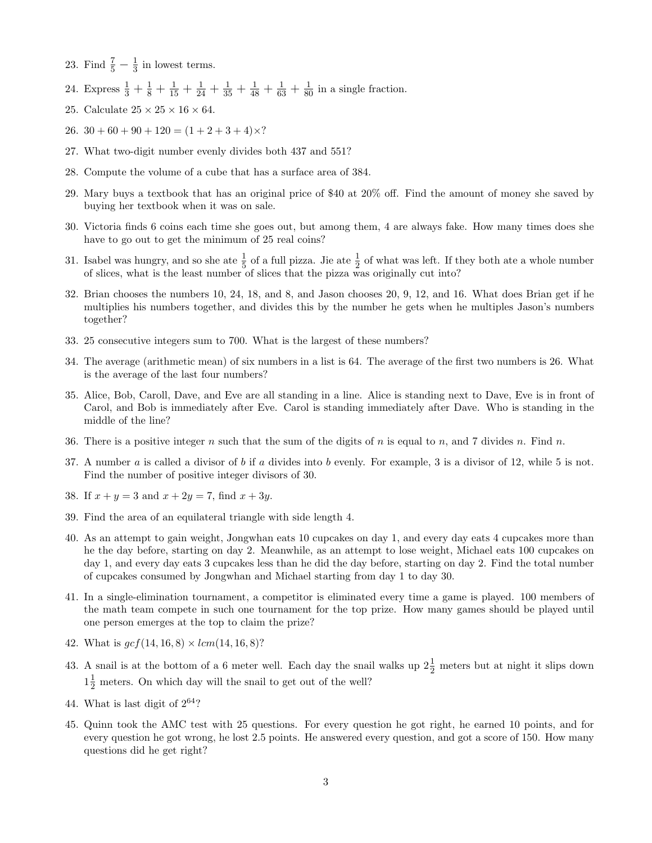- 23. Find  $\frac{7}{5} \frac{1}{3}$  $\frac{1}{3}$  in lowest terms.
- 24. Express  $\frac{1}{3} + \frac{1}{8} + \frac{1}{15} + \frac{1}{24} + \frac{1}{35} + \frac{1}{48} + \frac{1}{63} + \frac{1}{80}$  in a single fraction.
- 25. Calculate  $25 \times 25 \times 16 \times 64$ .
- 26.  $30 + 60 + 90 + 120 = (1 + 2 + 3 + 4) \times$ ?
- 27. What two-digit number evenly divides both 437 and 551?
- 28. Compute the volume of a cube that has a surface area of 384.
- 29. Mary buys a textbook that has an original price of \$40 at 20% off. Find the amount of money she saved by buying her textbook when it was on sale.
- 30. Victoria finds 6 coins each time she goes out, but among them, 4 are always fake. How many times does she have to go out to get the minimum of 25 real coins?
- 31. Isabel was hungry, and so she ate  $\frac{1}{5}$  of a full pizza. Jie ate  $\frac{1}{2}$  of what was left. If they both ate a whole number of slices, what is the least number of slices that the pizza was originally cut into?
- 32. Brian chooses the numbers 10, 24, 18, and 8, and Jason chooses 20, 9, 12, and 16. What does Brian get if he multiplies his numbers together, and divides this by the number he gets when he multiples Jason's numbers together?
- 33. 25 consecutive integers sum to 700. What is the largest of these numbers?
- 34. The average (arithmetic mean) of six numbers in a list is 64. The average of the first two numbers is 26. What is the average of the last four numbers?
- 35. Alice, Bob, Caroll, Dave, and Eve are all standing in a line. Alice is standing next to Dave, Eve is in front of Carol, and Bob is immediately after Eve. Carol is standing immediately after Dave. Who is standing in the middle of the line?
- 36. There is a positive integer n such that the sum of the digits of n is equal to n, and 7 divides n. Find n.
- 37. A number  $a$  is called a divisor of  $b$  if  $a$  divides into  $b$  evenly. For example, 3 is a divisor of 12, while 5 is not. Find the number of positive integer divisors of 30.
- 38. If  $x + y = 3$  and  $x + 2y = 7$ , find  $x + 3y$ .
- 39. Find the area of an equilateral triangle with side length 4.
- 40. As an attempt to gain weight, Jongwhan eats 10 cupcakes on day 1, and every day eats 4 cupcakes more than he the day before, starting on day 2. Meanwhile, as an attempt to lose weight, Michael eats 100 cupcakes on day 1, and every day eats 3 cupcakes less than he did the day before, starting on day 2. Find the total number of cupcakes consumed by Jongwhan and Michael starting from day 1 to day 30.
- 41. In a single-elimination tournament, a competitor is eliminated every time a game is played. 100 members of the math team compete in such one tournament for the top prize. How many games should be played until one person emerges at the top to claim the prize?
- 42. What is  $\gcd(14, 16, 8) \times \ell m(14, 16, 8)$ ?
- 43. A snail is at the bottom of a 6 meter well. Each day the snail walks up  $2\frac{1}{2}$  meters but at night it slips down  $1\frac{1}{2}$  meters. On which day will the snail to get out of the well?
- 44. What is last digit of  $2^{64}$ ?
- 45. Quinn took the AMC test with 25 questions. For every question he got right, he earned 10 points, and for every question he got wrong, he lost 2.5 points. He answered every question, and got a score of 150. How many questions did he get right?